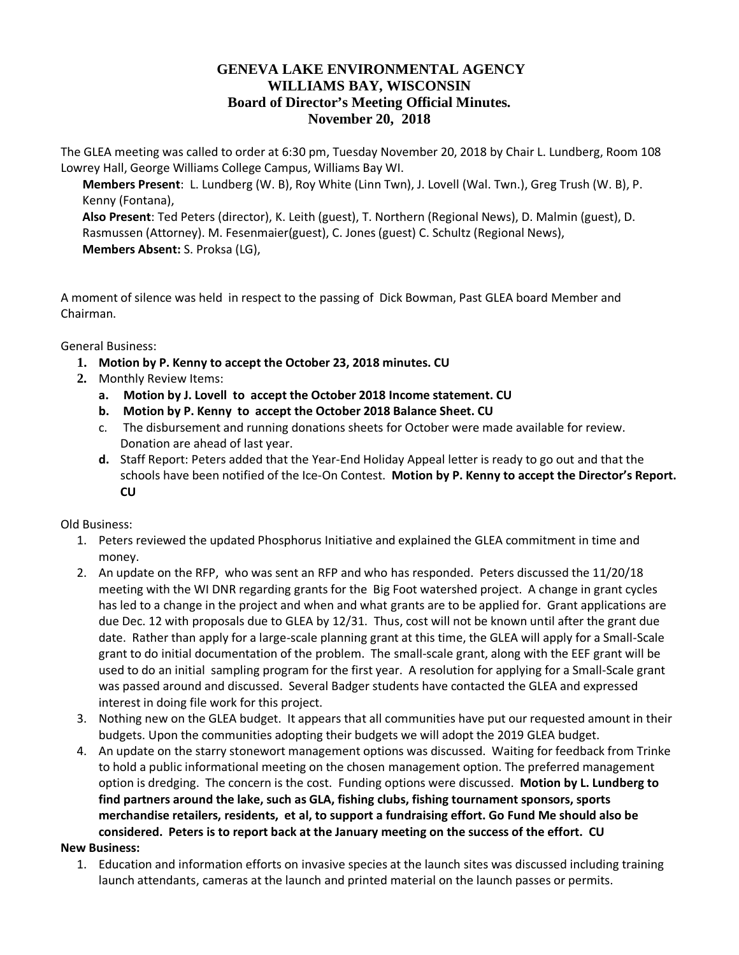## **GENEVA LAKE ENVIRONMENTAL AGENCY WILLIAMS BAY, WISCONSIN Board of Director's Meeting Official Minutes. November 20, 2018**

The GLEA meeting was called to order at 6:30 pm, Tuesday November 20, 2018 by Chair L. Lundberg, Room 108 Lowrey Hall, George Williams College Campus, Williams Bay WI.

**Members Present**: L. Lundberg (W. B), Roy White (Linn Twn), J. Lovell (Wal. Twn.), Greg Trush (W. B), P. Kenny (Fontana), **Also Present**: Ted Peters (director), K. Leith (guest), T. Northern (Regional News), D. Malmin (guest), D.

Rasmussen (Attorney). M. Fesenmaier(guest), C. Jones (guest) C. Schultz (Regional News), **Members Absent:** S. Proksa (LG),

A moment of silence was held in respect to the passing of Dick Bowman, Past GLEA board Member and Chairman.

General Business:

- **1. Motion by P. Kenny to accept the October 23, 2018 minutes. CU**
- **2.** Monthly Review Items:
	- **a. Motion by J. Lovell to accept the October 2018 Income statement. CU**
	- **b. Motion by P. Kenny to accept the October 2018 Balance Sheet. CU**
	- c. The disbursement and running donations sheets for October were made available for review. Donation are ahead of last year.
	- **d.** Staff Report: Peters added that the Year-End Holiday Appeal letter is ready to go out and that the schools have been notified of the Ice-On Contest. **Motion by P. Kenny to accept the Director's Report. CU**

Old Business:

- 1. Peters reviewed the updated Phosphorus Initiative and explained the GLEA commitment in time and money.
- 2. An update on the RFP, who was sent an RFP and who has responded. Peters discussed the 11/20/18 meeting with the WI DNR regarding grants for the Big Foot watershed project. A change in grant cycles has led to a change in the project and when and what grants are to be applied for. Grant applications are due Dec. 12 with proposals due to GLEA by 12/31. Thus, cost will not be known until after the grant due date. Rather than apply for a large-scale planning grant at this time, the GLEA will apply for a Small-Scale grant to do initial documentation of the problem. The small-scale grant, along with the EEF grant will be used to do an initial sampling program for the first year. A resolution for applying for a Small-Scale grant was passed around and discussed. Several Badger students have contacted the GLEA and expressed interest in doing file work for this project.
- 3. Nothing new on the GLEA budget. It appears that all communities have put our requested amount in their budgets. Upon the communities adopting their budgets we will adopt the 2019 GLEA budget.
- 4. An update on the starry stonewort management options was discussed. Waiting for feedback from Trinke to hold a public informational meeting on the chosen management option. The preferred management option is dredging. The concern is the cost. Funding options were discussed. **Motion by L. Lundberg to find partners around the lake, such as GLA, fishing clubs, fishing tournament sponsors, sports merchandise retailers, residents, et al, to support a fundraising effort. Go Fund Me should also be considered. Peters is to report back at the January meeting on the success of the effort. CU**
- **New Business:**
	- 1. Education and information efforts on invasive species at the launch sites was discussed including training launch attendants, cameras at the launch and printed material on the launch passes or permits.